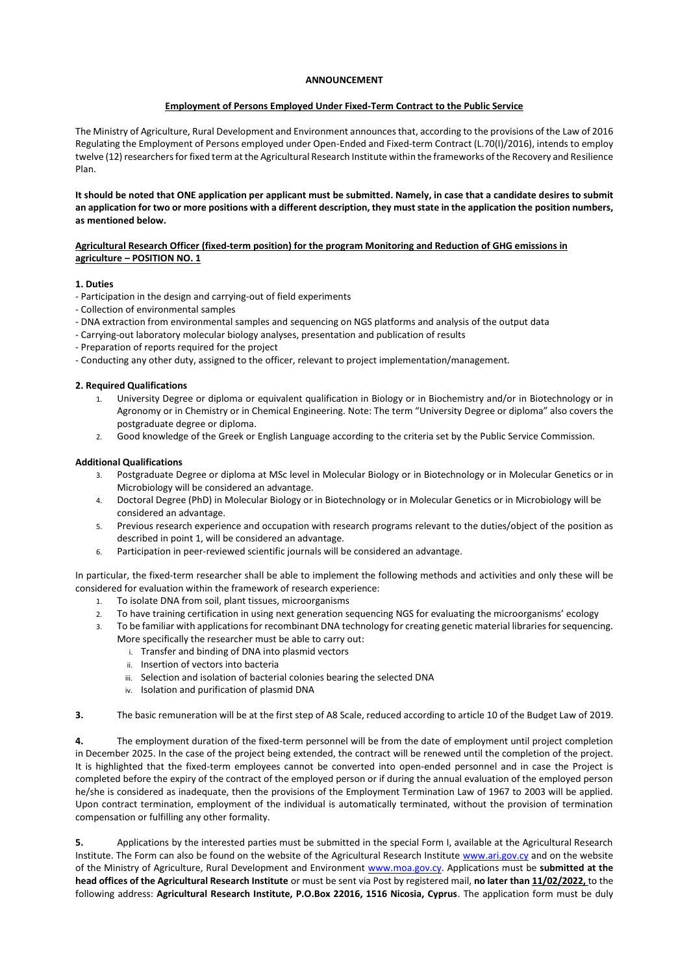## **ANNOUNCEMENT**

#### **Employment of Persons Employed Under Fixed-Term Contract to the Public Service**

The Ministry of Agriculture, Rural Development and Environment announces that, according to the provisions of the Law of 2016 Regulating the Employment of Persons employed under Open-Ended and Fixed-term Contract (L.70(I)/2016), intends to employ twelve (12) researchers for fixed term at the Agricultural Research Institute within the frameworks of the Recovery and Resilience Plan.

**It should be noted that ONE application per applicant must be submitted. Namely, in case that a candidate desires to submit an application for two or more positions with a different description, they must state in the application the position numbers, as mentioned below.**

## **Agricultural Research Officer (fixed-term position) for the program Monitoring and Reduction of GHG emissions in agriculture – POSITION NO. 1**

## **1. Duties**

- Participation in the design and carrying-out of field experiments
- Collection of environmental samples
- DNA extraction from environmental samples and sequencing on NGS platforms and analysis of the output data
- Carrying-out laboratory molecular biology analyses, presentation and publication of results
- Preparation of reports required for the project
- Conducting any other duty, assigned to the officer, relevant to project implementation/management.

#### **2. Required Qualifications**

- 1. University Degree or diploma or equivalent qualification in Biology or in Biochemistry and/or in Biotechnology or in Agronomy or in Chemistry or in Chemical Engineering. Note: The term "University Degree or diploma" also covers the postgraduate degree or diploma.
- 2. Good knowledge of the Greek or English Language according to the criteria set by the Public Service Commission.

#### **Additional Qualifications**

- 3. Postgraduate Degree or diploma at MSc level in Molecular Biology or in Biotechnology or in Molecular Genetics or in Microbiology will be considered an advantage.
- 4. Doctoral Degree (PhD) in Molecular Biology or in Biotechnology or in Molecular Genetics or in Microbiology will be considered an advantage.
- 5. Previous research experience and occupation with research programs relevant to the duties/object of the position as described in point 1, will be considered an advantage.
- 6. Participation in peer-reviewed scientific journals will be considered an advantage.

In particular, the fixed-term researcher shall be able to implement the following methods and activities and only these will be considered for evaluation within the framework of research experience:

- 1. To isolate DNA from soil, plant tissues, microorganisms
- 2. To have training certification in using next generation sequencing NGS for evaluating the microorganisms' ecology
- 3. To be familiar with applications for recombinant DNA technology for creating genetic material libraries for sequencing. More specifically the researcher must be able to carry out:
	- i. Transfer and binding of DNA into plasmid vectors
	- ii. Insertion of vectors into bacteria
	- iii. Selection and isolation of bacterial colonies bearing the selected DNA
	- iv. Isolation and purification of plasmid DNA
- **3.** The basic remuneration will be at the first step of A8 Scale, reduced according to article 10 of the Budget Law of 2019.

**4.** The employment duration of the fixed-term personnel will be from the date of employment until project completion in December 2025. In the case of the project being extended, the contract will be renewed until the completion of the project. It is highlighted that the fixed-term employees cannot be converted into open-ended personnel and in case the Project is completed before the expiry of the contract of the employed person or if during the annual evaluation of the employed person he/she is considered as inadequate, then the provisions of the Employment Termination Law of 1967 to 2003 will be applied. Upon contract termination, employment of the individual is automatically terminated, without the provision of termination compensation or fulfilling any other formality.

**5.** Applications by the interested parties must be submitted in the special Form I, available at the Agricultural Research Institute. The Form can also be found on the website of the Agricultural Research Institute [www.ari.gov.cy](http://www.ari.gov.cy/) and on the website of the Ministry of Agriculture, Rural Development and Environment [www.moa.gov.cy.](http://www.moa.gov.cy/) Applications must be **submitted at the head offices of the Agricultural Research Institute** or must be sent via Post by registered mail, **no later than 11/02/2022,** to the following address: **Agricultural Research Institute, P.O.Box 22016, 1516 Nicosia, Cyprus**. The application form must be duly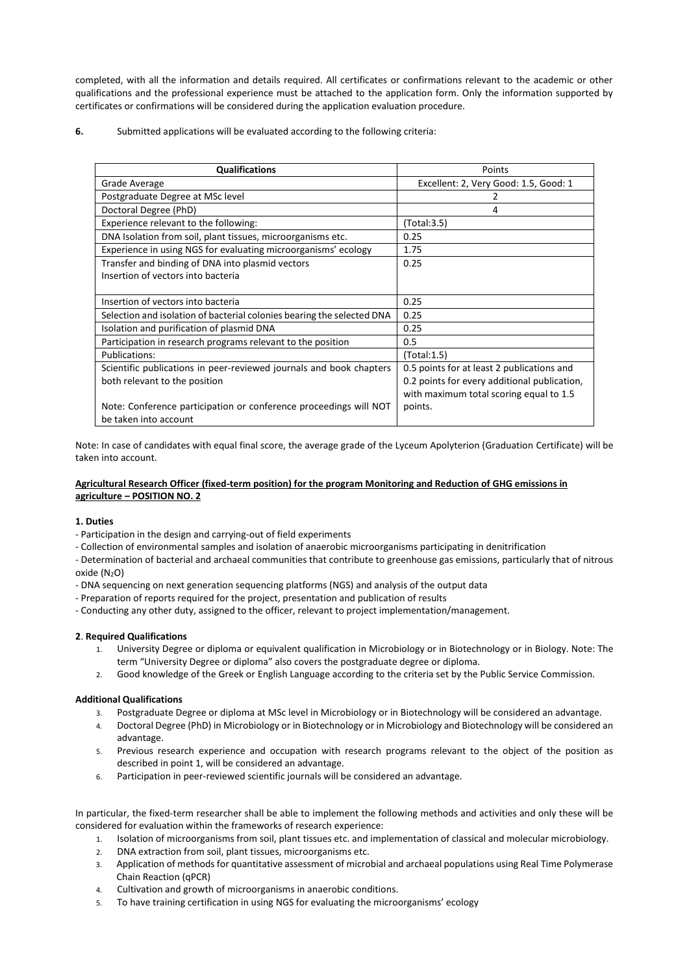completed, with all the information and details required. All certificates or confirmations relevant to the academic or other qualifications and the professional experience must be attached to the application form. Only the information supported by certificates or confirmations will be considered during the application evaluation procedure.

**6.** Submitted applications will be evaluated according to the following criteria:

| <b>Qualifications</b>                                                  | Points                                       |
|------------------------------------------------------------------------|----------------------------------------------|
| Grade Average                                                          | Excellent: 2, Very Good: 1.5, Good: 1        |
| Postgraduate Degree at MSc level                                       |                                              |
| Doctoral Degree (PhD)                                                  | 4                                            |
| Experience relevant to the following:                                  | (Total:3.5)                                  |
| DNA Isolation from soil, plant tissues, microorganisms etc.            | 0.25                                         |
| Experience in using NGS for evaluating microorganisms' ecology         | 1.75                                         |
| Transfer and binding of DNA into plasmid vectors                       | 0.25                                         |
| Insertion of vectors into bacteria                                     |                                              |
|                                                                        |                                              |
| Insertion of vectors into bacteria                                     | 0.25                                         |
| Selection and isolation of bacterial colonies bearing the selected DNA | 0.25                                         |
| Isolation and purification of plasmid DNA                              | 0.25                                         |
| Participation in research programs relevant to the position            | 0.5                                          |
| <b>Publications:</b>                                                   | (Total:1.5)                                  |
| Scientific publications in peer-reviewed journals and book chapters    | 0.5 points for at least 2 publications and   |
| both relevant to the position                                          | 0.2 points for every additional publication, |
|                                                                        | with maximum total scoring equal to 1.5      |
| Note: Conference participation or conference proceedings will NOT      | points.                                      |
| be taken into account                                                  |                                              |

Note: In case of candidates with equal final score, the average grade of the Lyceum Apolyterion (Graduation Certificate) will be taken into account.

# **Agricultural Research Officer (fixed-term position) for the program Monitoring and Reduction of GHG emissions in agriculture – POSITION NO. 2**

## **1. Duties**

- Participation in the design and carrying-out of field experiments
- Collection of environmental samples and isolation of anaerobic microorganisms participating in denitrification

- Determination of bacterial and archaeal communities that contribute to greenhouse gas emissions, particularly that of nitrous oxide (N<sub>2</sub>O)

- DNA sequencing on next generation sequencing platforms (NGS) and analysis of the output data
- Preparation of reports required for the project, presentation and publication of results
- Conducting any other duty, assigned to the officer, relevant to project implementation/management.

## **2**. **Required Qualifications**

- 1. University Degree or diploma or equivalent qualification in Microbiology or in Biotechnology or in Biology. Note: The term "University Degree or diploma" also covers the postgraduate degree or diploma.
- 2. Good knowledge of the Greek or English Language according to the criteria set by the Public Service Commission.

## **Additional Qualifications**

- 3. Postgraduate Degree or diploma at MSc level in Microbiology or in Biotechnology will be considered an advantage.
- 4. Doctoral Degree (PhD) in Microbiology or in Biotechnology or in Microbiology and Biotechnology will be considered an advantage.
- 5. Previous research experience and occupation with research programs relevant to the object of the position as described in point 1, will be considered an advantage.
- 6. Participation in peer-reviewed scientific journals will be considered an advantage.

In particular, the fixed-term researcher shall be able to implement the following methods and activities and only these will be considered for evaluation within the frameworks of research experience:

- 1. Isolation of microorganisms from soil, plant tissues etc. and implementation of classical and molecular microbiology.
- 2. DNA extraction from soil, plant tissues, microorganisms etc.
- 3. Application of methods for quantitative assessment of microbial and archaeal populations using Real Time Polymerase Chain Reaction (qPCR)
- 4. Cultivation and growth of microorganisms in anaerobic conditions.
- 5. To have training certification in using NGS for evaluating the microorganisms' ecology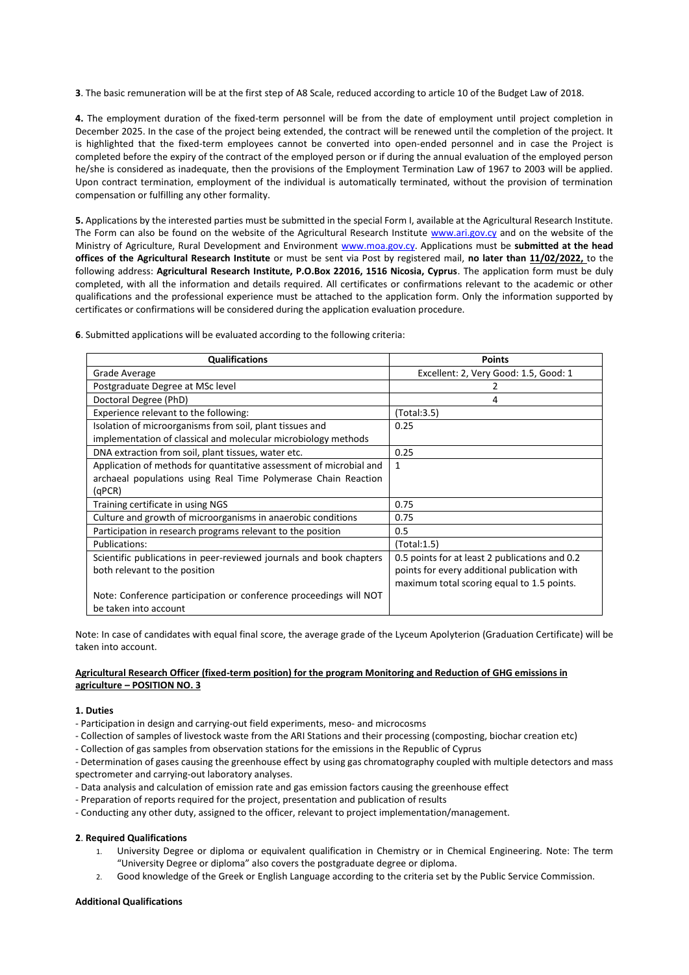**3**. The basic remuneration will be at the first step of A8 Scale, reduced according to article 10 of the Budget Law of 2018.

**4.** The employment duration of the fixed-term personnel will be from the date of employment until project completion in December 2025. In the case of the project being extended, the contract will be renewed until the completion of the project. It is highlighted that the fixed-term employees cannot be converted into open-ended personnel and in case the Project is completed before the expiry of the contract of the employed person or if during the annual evaluation of the employed person he/she is considered as inadequate, then the provisions of the Employment Termination Law of 1967 to 2003 will be applied. Upon contract termination, employment of the individual is automatically terminated, without the provision of termination compensation or fulfilling any other formality.

**5.** Applications by the interested parties must be submitted in the special Form I, available at the Agricultural Research Institute. The Form can also be found on the website of the Agricultural Research Institute [www.ari.gov.cy](http://www.ari.gov.cy/) and on the website of the Ministry of Agriculture, Rural Development and Environment [www.moa.gov.cy.](http://www.moa.gov.cy/) Applications must be **submitted at the head offices of the Agricultural Research Institute** or must be sent via Post by registered mail, **no later than 11/02/2022,** to the following address: **Agricultural Research Institute, P.O.Box 22016, 1516 Nicosia, Cyprus**. The application form must be duly completed, with all the information and details required. All certificates or confirmations relevant to the academic or other qualifications and the professional experience must be attached to the application form. Only the information supported by certificates or confirmations will be considered during the application evaluation procedure.

| <b>Qualifications</b>                                               | <b>Points</b>                                  |
|---------------------------------------------------------------------|------------------------------------------------|
| Grade Average                                                       | Excellent: 2, Very Good: 1.5, Good: 1          |
| Postgraduate Degree at MSc level                                    | 2                                              |
| Doctoral Degree (PhD)                                               | 4                                              |
| Experience relevant to the following:                               | (Total:3.5)                                    |
| Isolation of microorganisms from soil, plant tissues and            | 0.25                                           |
| implementation of classical and molecular microbiology methods      |                                                |
| DNA extraction from soil, plant tissues, water etc.                 | 0.25                                           |
| Application of methods for quantitative assessment of microbial and | $\mathbf{1}$                                   |
| archaeal populations using Real Time Polymerase Chain Reaction      |                                                |
| (qPCR)                                                              |                                                |
| Training certificate in using NGS                                   | 0.75                                           |
| Culture and growth of microorganisms in anaerobic conditions        | 0.75                                           |
| Participation in research programs relevant to the position         | 0.5                                            |
| Publications:                                                       | (Total:1.5)                                    |
| Scientific publications in peer-reviewed journals and book chapters | 0.5 points for at least 2 publications and 0.2 |
| both relevant to the position                                       | points for every additional publication with   |
|                                                                     | maximum total scoring equal to 1.5 points.     |
| Note: Conference participation or conference proceedings will NOT   |                                                |
| be taken into account                                               |                                                |

**6**. Submitted applications will be evaluated according to the following criteria:

Note: In case of candidates with equal final score, the average grade of the Lyceum Apolyterion (Graduation Certificate) will be taken into account.

#### **Agricultural Research Officer (fixed-term position) for the program Monitoring and Reduction of GHG emissions in agriculture – POSITION NO. 3**

#### **1. Duties**

- Participation in design and carrying-out field experiments, meso- and microcosms
- Collection of samples of livestock waste from the ARI Stations and their processing (composting, biochar creation etc)
- Collection of gas samples from observation stations for the emissions in the Republic of Cyprus
- Determination of gases causing the greenhouse effect by using gas chromatography coupled with multiple detectors and mass spectrometer and carrying-out laboratory analyses.
- Data analysis and calculation of emission rate and gas emission factors causing the greenhouse effect
- Preparation of reports required for the project, presentation and publication of results
- Conducting any other duty, assigned to the officer, relevant to project implementation/management.

#### **2**. **Required Qualifications**

- 1. University Degree or diploma or equivalent qualification in Chemistry or in Chemical Engineering. Note: The term "University Degree or diploma" also covers the postgraduate degree or diploma.
- 2. Good knowledge of the Greek or English Language according to the criteria set by the Public Service Commission.

#### **Additional Qualifications**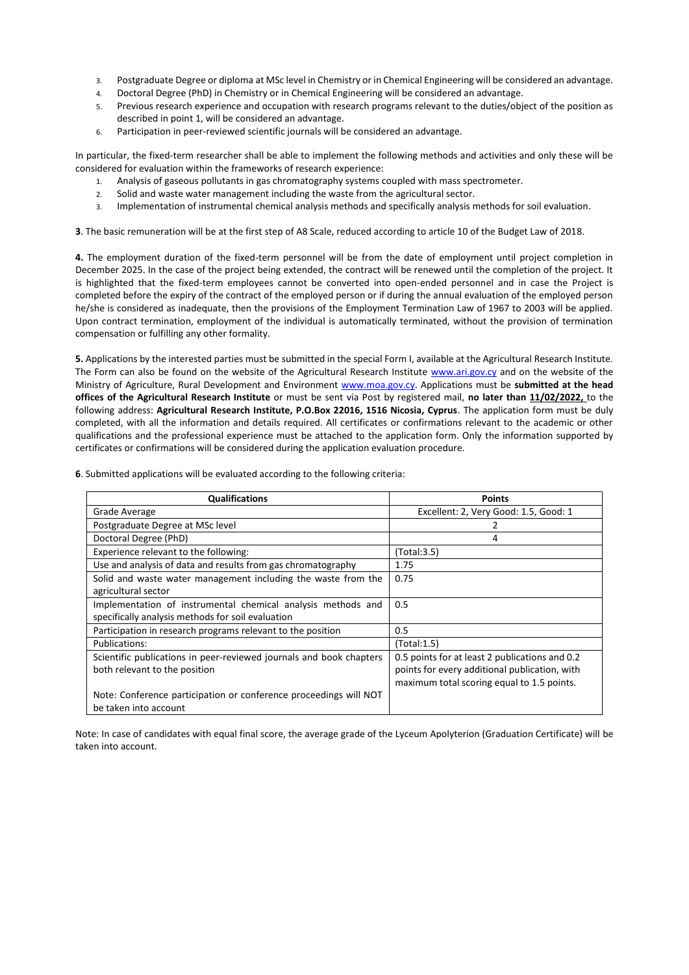- 3. Postgraduate Degree or diploma at MSc level in Chemistry or in Chemical Engineering will be considered an advantage.
- 4. Doctoral Degree (PhD) in Chemistry or in Chemical Engineering will be considered an advantage.
- 5. Previous research experience and occupation with research programs relevant to the duties/object of the position as described in point 1, will be considered an advantage.
- 6. Participation in peer-reviewed scientific journals will be considered an advantage.

In particular, the fixed-term researcher shall be able to implement the following methods and activities and only these will be considered for evaluation within the frameworks of research experience:

- 1. Analysis of gaseous pollutants in gas chromatography systems coupled with mass spectrometer.
- 2. Solid and waste water management including the waste from the agricultural sector.
- 3. Implementation of instrumental chemical analysis methods and specifically analysis methods for soil evaluation.

**3**. The basic remuneration will be at the first step of A8 Scale, reduced according to article 10 of the Budget Law of 2018.

**4.** The employment duration of the fixed-term personnel will be from the date of employment until project completion in December 2025. In the case of the project being extended, the contract will be renewed until the completion of the project. It is highlighted that the fixed-term employees cannot be converted into open-ended personnel and in case the Project is completed before the expiry of the contract of the employed person or if during the annual evaluation of the employed person he/she is considered as inadequate, then the provisions of the Employment Termination Law of 1967 to 2003 will be applied. Upon contract termination, employment of the individual is automatically terminated, without the provision of termination compensation or fulfilling any other formality.

**5.** Applications by the interested parties must be submitted in the special Form I, available at the Agricultural Research Institute. The Form can also be found on the website of the Agricultural Research Institute [www.ari.gov.cy](http://www.ari.gov.cy/) and on the website of the Ministry of Agriculture, Rural Development and Environment [www.moa.gov.cy.](http://www.moa.gov.cy/) Applications must be **submitted at the head offices of the Agricultural Research Institute** or must be sent via Post by registered mail, **no later than 11/02/2022,** to the following address: **Agricultural Research Institute, P.O.Box 22016, 1516 Nicosia, Cyprus**. The application form must be duly completed, with all the information and details required. All certificates or confirmations relevant to the academic or other qualifications and the professional experience must be attached to the application form. Only the information supported by certificates or confirmations will be considered during the application evaluation procedure.

| 6. Submitted applications will be evaluated according to the following criteria: |  |
|----------------------------------------------------------------------------------|--|
|                                                                                  |  |

| <b>Qualifications</b>                                               | <b>Points</b>                                  |
|---------------------------------------------------------------------|------------------------------------------------|
| Grade Average                                                       | Excellent: 2, Very Good: 1.5, Good: 1          |
| Postgraduate Degree at MSc level                                    |                                                |
| Doctoral Degree (PhD)                                               | 4                                              |
| Experience relevant to the following:                               | (Total:3.5)                                    |
| Use and analysis of data and results from gas chromatography        | 1.75                                           |
| Solid and waste water management including the waste from the       | 0.75                                           |
| agricultural sector                                                 |                                                |
| Implementation of instrumental chemical analysis methods and        | 0.5                                            |
| specifically analysis methods for soil evaluation                   |                                                |
| Participation in research programs relevant to the position         | 0.5                                            |
| Publications:                                                       | (Total:1.5)                                    |
| Scientific publications in peer-reviewed journals and book chapters | 0.5 points for at least 2 publications and 0.2 |
| both relevant to the position                                       | points for every additional publication, with  |
|                                                                     | maximum total scoring equal to 1.5 points.     |
| Note: Conference participation or conference proceedings will NOT   |                                                |
| be taken into account                                               |                                                |

Note: In case of candidates with equal final score, the average grade of the Lyceum Apolyterion (Graduation Certificate) will be taken into account.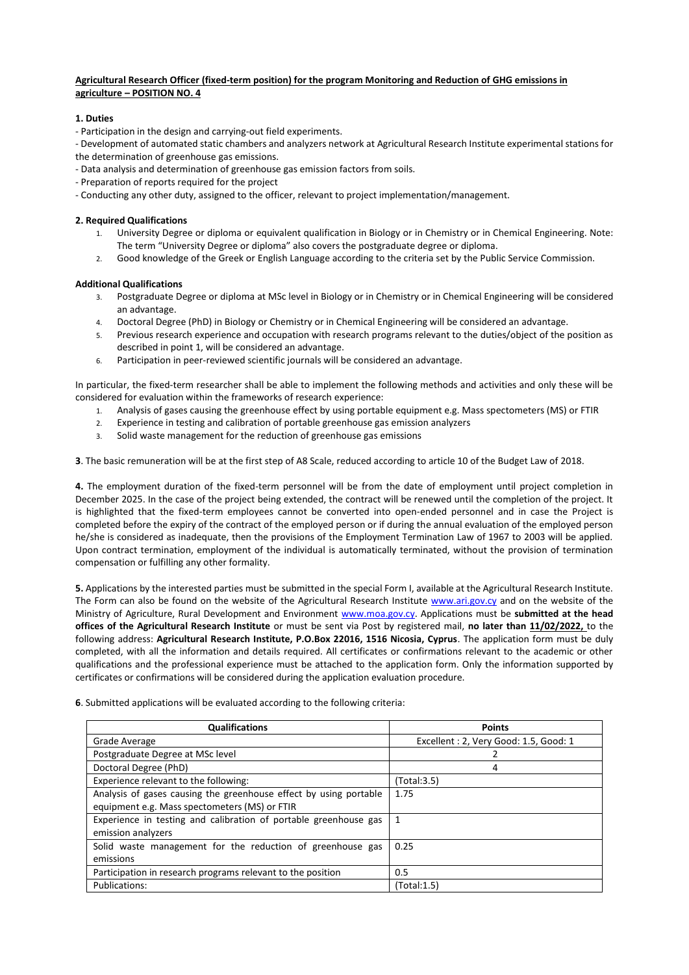## **Agricultural Research Officer (fixed-term position) for the program Monitoring and Reduction of GHG emissions in agriculture – POSITION NO. 4**

## **1. Duties**

- Participation in the design and carrying-out field experiments.

- Development of automated static chambers and analyzers network at Agricultural Research Institute experimental stations for the determination of greenhouse gas emissions.

- Data analysis and determination of greenhouse gas emission factors from soils.
- Preparation of reports required for the project
- Conducting any other duty, assigned to the officer, relevant to project implementation/management.

# **2. Required Qualifications**

- 1. University Degree or diploma or equivalent qualification in Biology or in Chemistry or in Chemical Engineering. Note: The term "University Degree or diploma" also covers the postgraduate degree or diploma.
- 2. Good knowledge of the Greek or English Language according to the criteria set by the Public Service Commission.

# **Additional Qualifications**

- 3. Postgraduate Degree or diploma at MSc level in Biology or in Chemistry or in Chemical Engineering will be considered an advantage.
- 4. Doctoral Degree (PhD) in Biology or Chemistry or in Chemical Engineering will be considered an advantage.
- 5. Previous research experience and occupation with research programs relevant to the duties/object of the position as described in point 1, will be considered an advantage.
- 6. Participation in peer-reviewed scientific journals will be considered an advantage.

In particular, the fixed-term researcher shall be able to implement the following methods and activities and only these will be considered for evaluation within the frameworks of research experience:

- 1. Analysis of gases causing the greenhouse effect by using portable equipment e.g. Mass spectometers (MS) or FTIR
- 2. Experience in testing and calibration of portable greenhouse gas emission analyzers
- 3. Solid waste management for the reduction of greenhouse gas emissions

**3**. The basic remuneration will be at the first step of A8 Scale, reduced according to article 10 of the Budget Law of 2018.

**4.** The employment duration of the fixed-term personnel will be from the date of employment until project completion in December 2025. In the case of the project being extended, the contract will be renewed until the completion of the project. It is highlighted that the fixed-term employees cannot be converted into open-ended personnel and in case the Project is completed before the expiry of the contract of the employed person or if during the annual evaluation of the employed person he/she is considered as inadequate, then the provisions of the Employment Termination Law of 1967 to 2003 will be applied. Upon contract termination, employment of the individual is automatically terminated, without the provision of termination compensation or fulfilling any other formality.

**5.** Applications by the interested parties must be submitted in the special Form I, available at the Agricultural Research Institute. The Form can also be found on the website of the Agricultural Research Institute [www.ari.gov.cy](http://www.ari.gov.cy/) and on the website of the Ministry of Agriculture, Rural Development and Environment [www.moa.gov.cy.](http://www.moa.gov.cy/) Applications must be **submitted at the head offices of the Agricultural Research Institute** or must be sent via Post by registered mail, **no later than 11/02/2022,** to the following address: **Agricultural Research Institute, P.O.Box 22016, 1516 Nicosia, Cyprus**. The application form must be duly completed, with all the information and details required. All certificates or confirmations relevant to the academic or other qualifications and the professional experience must be attached to the application form. Only the information supported by certificates or confirmations will be considered during the application evaluation procedure.

| <b>Qualifications</b>                                             | <b>Points</b>                         |
|-------------------------------------------------------------------|---------------------------------------|
| Grade Average                                                     | Excellent: 2, Very Good: 1.5, Good: 1 |
| Postgraduate Degree at MSc level                                  |                                       |
| Doctoral Degree (PhD)                                             | 4                                     |
| Experience relevant to the following:                             | (Total:3.5)                           |
| Analysis of gases causing the greenhouse effect by using portable | 1.75                                  |
| equipment e.g. Mass spectometers (MS) or FTIR                     |                                       |
| Experience in testing and calibration of portable greenhouse gas  | 1                                     |
| emission analyzers                                                |                                       |
| Solid waste management for the reduction of greenhouse gas        | 0.25                                  |
| emissions                                                         |                                       |
| Participation in research programs relevant to the position       | 0.5                                   |
| Publications:                                                     | (Total:1.5)                           |

**6**. Submitted applications will be evaluated according to the following criteria: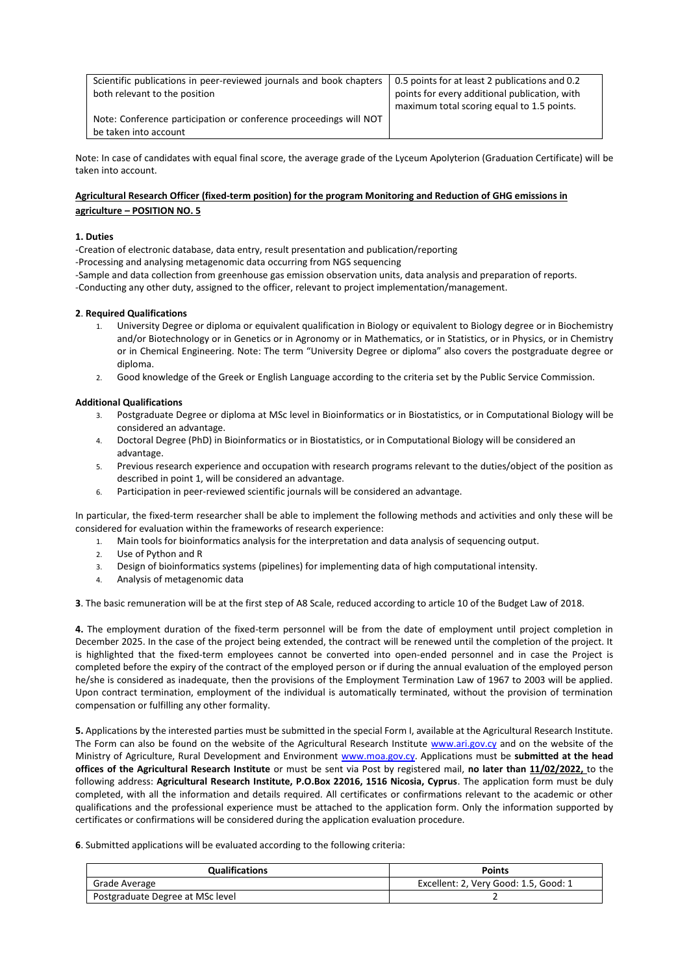| Scientific publications in peer-reviewed journals and book chapters<br>both relevant to the position | 0.5 points for at least 2 publications and 0.2<br>points for every additional publication, with |
|------------------------------------------------------------------------------------------------------|-------------------------------------------------------------------------------------------------|
|                                                                                                      | maximum total scoring equal to 1.5 points.                                                      |
| Note: Conference participation or conference proceedings will NOT                                    |                                                                                                 |
| be taken into account                                                                                |                                                                                                 |

Note: In case of candidates with equal final score, the average grade of the Lyceum Apolyterion (Graduation Certificate) will be taken into account.

# **Agricultural Research Officer (fixed-term position) for the program Monitoring and Reduction of GHG emissions in agriculture – POSITION NO. 5**

## **1. Duties**

-Creation of electronic database, data entry, result presentation and publication/reporting

- -Processing and analysing metagenomic data occurring from NGS sequencing
- -Sample and data collection from greenhouse gas emission observation units, data analysis and preparation of reports.
- -Conducting any other duty, assigned to the officer, relevant to project implementation/management.

## **2**. **Required Qualifications**

- 1. University Degree or diploma or equivalent qualification in Biology or equivalent to Biology degree or in Biochemistry and/or Biotechnology or in Genetics or in Agronomy or in Mathematics, or in Statistics, or in Physics, or in Chemistry or in Chemical Engineering. Note: The term "University Degree or diploma" also covers the postgraduate degree or diploma.
- 2. Good knowledge of the Greek or English Language according to the criteria set by the Public Service Commission.

#### **Additional Qualifications**

- 3. Postgraduate Degree or diploma at MSc level in Bioinformatics or in Biostatistics, or in Computational Biology will be considered an advantage.
- 4. Doctoral Degree (PhD) in Bioinformatics or in Biostatistics, or in Computational Biology will be considered an advantage.
- 5. Previous research experience and occupation with research programs relevant to the duties/object of the position as described in point 1, will be considered an advantage.
- 6. Participation in peer-reviewed scientific journals will be considered an advantage.

In particular, the fixed-term researcher shall be able to implement the following methods and activities and only these will be considered for evaluation within the frameworks of research experience:

- 1. Main tools for bioinformatics analysis for the interpretation and data analysis of sequencing output.
- 2. Use of Python and R
- 3. Design of bioinformatics systems (pipelines) for implementing data of high computational intensity.
- 4. Analysis of metagenomic data

**3**. The basic remuneration will be at the first step of A8 Scale, reduced according to article 10 of the Budget Law of 2018.

**4.** The employment duration of the fixed-term personnel will be from the date of employment until project completion in December 2025. In the case of the project being extended, the contract will be renewed until the completion of the project. It is highlighted that the fixed-term employees cannot be converted into open-ended personnel and in case the Project is completed before the expiry of the contract of the employed person or if during the annual evaluation of the employed person he/she is considered as inadequate, then the provisions of the Employment Termination Law of 1967 to 2003 will be applied. Upon contract termination, employment of the individual is automatically terminated, without the provision of termination compensation or fulfilling any other formality.

**5.** Applications by the interested parties must be submitted in the special Form I, available at the Agricultural Research Institute. The Form can also be found on the website of the Agricultural Research Institute [www.ari.gov.cy](http://www.ari.gov.cy/) and on the website of the Ministry of Agriculture, Rural Development and Environment [www.moa.gov.cy.](http://www.moa.gov.cy/) Applications must be **submitted at the head offices of the Agricultural Research Institute** or must be sent via Post by registered mail, **no later than 11/02/2022,** to the following address: **Agricultural Research Institute, P.O.Box 22016, 1516 Nicosia, Cyprus**. The application form must be duly completed, with all the information and details required. All certificates or confirmations relevant to the academic or other qualifications and the professional experience must be attached to the application form. Only the information supported by certificates or confirmations will be considered during the application evaluation procedure.

**6**. Submitted applications will be evaluated according to the following criteria:

| <b>Qualifications</b>            | <b>Points</b>                         |
|----------------------------------|---------------------------------------|
| Grade Average                    | Excellent: 2, Very Good: 1.5, Good: 1 |
| Postgraduate Degree at MSc level |                                       |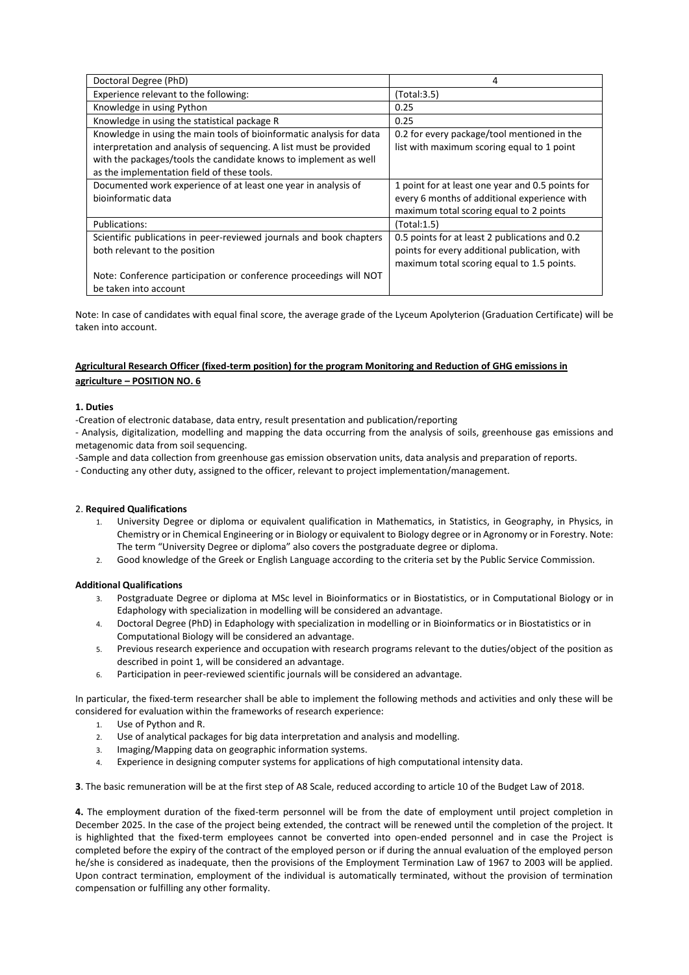| Doctoral Degree (PhD)                                                                                                                                                                                                                                         | 4                                                                                         |
|---------------------------------------------------------------------------------------------------------------------------------------------------------------------------------------------------------------------------------------------------------------|-------------------------------------------------------------------------------------------|
| Experience relevant to the following:                                                                                                                                                                                                                         | (Total:3.5)                                                                               |
| Knowledge in using Python                                                                                                                                                                                                                                     | 0.25                                                                                      |
| Knowledge in using the statistical package R                                                                                                                                                                                                                  | 0.25                                                                                      |
| Knowledge in using the main tools of bioinformatic analysis for data<br>interpretation and analysis of sequencing. A list must be provided<br>with the packages/tools the candidate knows to implement as well<br>as the implementation field of these tools. | 0.2 for every package/tool mentioned in the<br>list with maximum scoring equal to 1 point |
| Documented work experience of at least one year in analysis of                                                                                                                                                                                                | 1 point for at least one year and 0.5 points for                                          |
| bioinformatic data                                                                                                                                                                                                                                            | every 6 months of additional experience with                                              |
|                                                                                                                                                                                                                                                               | maximum total scoring equal to 2 points                                                   |
| Publications:                                                                                                                                                                                                                                                 | (Total:1.5)                                                                               |
| Scientific publications in peer-reviewed journals and book chapters                                                                                                                                                                                           | 0.5 points for at least 2 publications and 0.2                                            |
| both relevant to the position                                                                                                                                                                                                                                 | points for every additional publication, with                                             |
|                                                                                                                                                                                                                                                               | maximum total scoring equal to 1.5 points.                                                |
| Note: Conference participation or conference proceedings will NOT<br>be taken into account                                                                                                                                                                    |                                                                                           |

Note: In case of candidates with equal final score, the average grade of the Lyceum Apolyterion (Graduation Certificate) will be taken into account.

# **Agricultural Research Officer (fixed-term position) for the program Monitoring and Reduction of GHG emissions in agriculture – POSITION NO. 6**

## **1. Duties**

-Creation of electronic database, data entry, result presentation and publication/reporting

- Analysis, digitalization, modelling and mapping the data occurring from the analysis of soils, greenhouse gas emissions and metagenomic data from soil sequencing.

-Sample and data collection from greenhouse gas emission observation units, data analysis and preparation of reports.

- Conducting any other duty, assigned to the officer, relevant to project implementation/management.

## 2. **Required Qualifications**

- 1. University Degree or diploma or equivalent qualification in Mathematics, in Statistics, in Geography, in Physics, in Chemistry or in Chemical Engineering or in Biology or equivalent to Biology degree or in Agronomy or in Forestry. Note: The term "University Degree or diploma" also covers the postgraduate degree or diploma.
- 2. Good knowledge of the Greek or English Language according to the criteria set by the Public Service Commission.

## **Additional Qualifications**

- 3. Postgraduate Degree or diploma at MSc level in Bioinformatics or in Biostatistics, or in Computational Biology or in Edaphology with specialization in modelling will be considered an advantage.
- 4. Doctoral Degree (PhD) in Edaphology with specialization in modelling or in Bioinformatics or in Biostatistics or in Computational Biology will be considered an advantage.
- 5. Previous research experience and occupation with research programs relevant to the duties/object of the position as described in point 1, will be considered an advantage.
- 6. Participation in peer-reviewed scientific journals will be considered an advantage.

In particular, the fixed-term researcher shall be able to implement the following methods and activities and only these will be considered for evaluation within the frameworks of research experience:

- 1. Use of Python and R.
- 2. Use of analytical packages for big data interpretation and analysis and modelling.
- 3. Imaging/Mapping data on geographic information systems.
- 4. Experience in designing computer systems for applications of high computational intensity data.

**3**. The basic remuneration will be at the first step of A8 Scale, reduced according to article 10 of the Budget Law of 2018.

**4.** The employment duration of the fixed-term personnel will be from the date of employment until project completion in December 2025. In the case of the project being extended, the contract will be renewed until the completion of the project. It is highlighted that the fixed-term employees cannot be converted into open-ended personnel and in case the Project is completed before the expiry of the contract of the employed person or if during the annual evaluation of the employed person he/she is considered as inadequate, then the provisions of the Employment Termination Law of 1967 to 2003 will be applied. Upon contract termination, employment of the individual is automatically terminated, without the provision of termination compensation or fulfilling any other formality.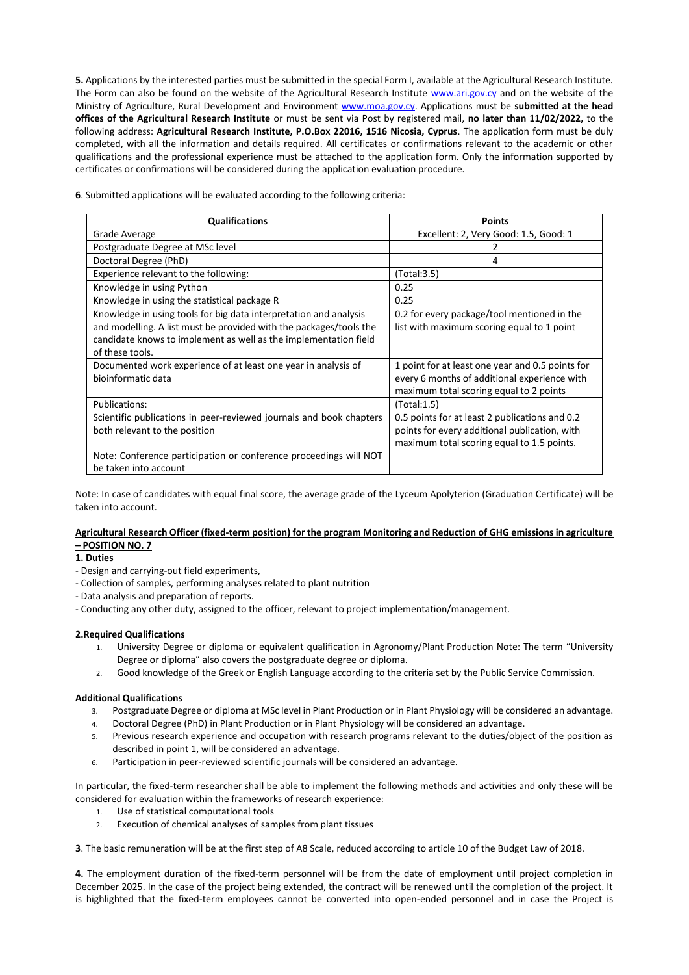**5.** Applications by the interested parties must be submitted in the special Form I, available at the Agricultural Research Institute. The Form can also be found on the website of the Agricultural Research Institute [www.ari.gov.cy](http://www.ari.gov.cy/) and on the website of the Ministry of Agriculture, Rural Development and Environment [www.moa.gov.cy.](http://www.moa.gov.cy/) Applications must be **submitted at the head offices of the Agricultural Research Institute** or must be sent via Post by registered mail, **no later than 11/02/2022,** to the following address: **Agricultural Research Institute, P.O.Box 22016, 1516 Nicosia, Cyprus**. The application form must be duly completed, with all the information and details required. All certificates or confirmations relevant to the academic or other qualifications and the professional experience must be attached to the application form. Only the information supported by certificates or confirmations will be considered during the application evaluation procedure.

**6**. Submitted applications will be evaluated according to the following criteria:

| <b>Qualifications</b>                                               | <b>Points</b>                                    |
|---------------------------------------------------------------------|--------------------------------------------------|
| Grade Average                                                       | Excellent: 2, Very Good: 1.5, Good: 1            |
| Postgraduate Degree at MSc level                                    |                                                  |
| Doctoral Degree (PhD)                                               | 4                                                |
| Experience relevant to the following:                               | (Total:3.5)                                      |
| Knowledge in using Python                                           | 0.25                                             |
| Knowledge in using the statistical package R                        | 0.25                                             |
| Knowledge in using tools for big data interpretation and analysis   | 0.2 for every package/tool mentioned in the      |
| and modelling. A list must be provided with the packages/tools the  | list with maximum scoring equal to 1 point       |
| candidate knows to implement as well as the implementation field    |                                                  |
| of these tools.                                                     |                                                  |
| Documented work experience of at least one year in analysis of      | 1 point for at least one year and 0.5 points for |
| bioinformatic data                                                  | every 6 months of additional experience with     |
|                                                                     | maximum total scoring equal to 2 points          |
| Publications:                                                       | (Total:1.5)                                      |
| Scientific publications in peer-reviewed journals and book chapters | 0.5 points for at least 2 publications and 0.2   |
| both relevant to the position                                       | points for every additional publication, with    |
|                                                                     | maximum total scoring equal to 1.5 points.       |
| Note: Conference participation or conference proceedings will NOT   |                                                  |
| be taken into account                                               |                                                  |

Note: In case of candidates with equal final score, the average grade of the Lyceum Apolyterion (Graduation Certificate) will be taken into account.

## **Agricultural Research Officer (fixed-term position) for the program Monitoring and Reduction of GHG emissions in agriculture – POSITION NO. 7**

## **1. Duties**

- Design and carrying-out field experiments,
- Collection of samples, performing analyses related to plant nutrition
- Data analysis and preparation of reports.
- Conducting any other duty, assigned to the officer, relevant to project implementation/management.

## **2.Required Qualifications**

- 1. University Degree or diploma or equivalent qualification in Agronomy/Plant Production Note: The term "University Degree or diploma" also covers the postgraduate degree or diploma.
- 2. Good knowledge of the Greek or English Language according to the criteria set by the Public Service Commission.

## **Additional Qualifications**

- 3. Postgraduate Degree or diploma at MSc level in Plant Production or in Plant Physiology will be considered an advantage.
- 4. Doctoral Degree (PhD) in Plant Production or in Plant Physiology will be considered an advantage.
- 5. Previous research experience and occupation with research programs relevant to the duties/object of the position as described in point 1, will be considered an advantage.
- 6. Participation in peer-reviewed scientific journals will be considered an advantage.

In particular, the fixed-term researcher shall be able to implement the following methods and activities and only these will be considered for evaluation within the frameworks of research experience:

- 1. Use of statistical computational tools
- 2. Execution of chemical analyses of samples from plant tissues

**3**. The basic remuneration will be at the first step of A8 Scale, reduced according to article 10 of the Budget Law of 2018.

**4.** The employment duration of the fixed-term personnel will be from the date of employment until project completion in December 2025. In the case of the project being extended, the contract will be renewed until the completion of the project. It is highlighted that the fixed-term employees cannot be converted into open-ended personnel and in case the Project is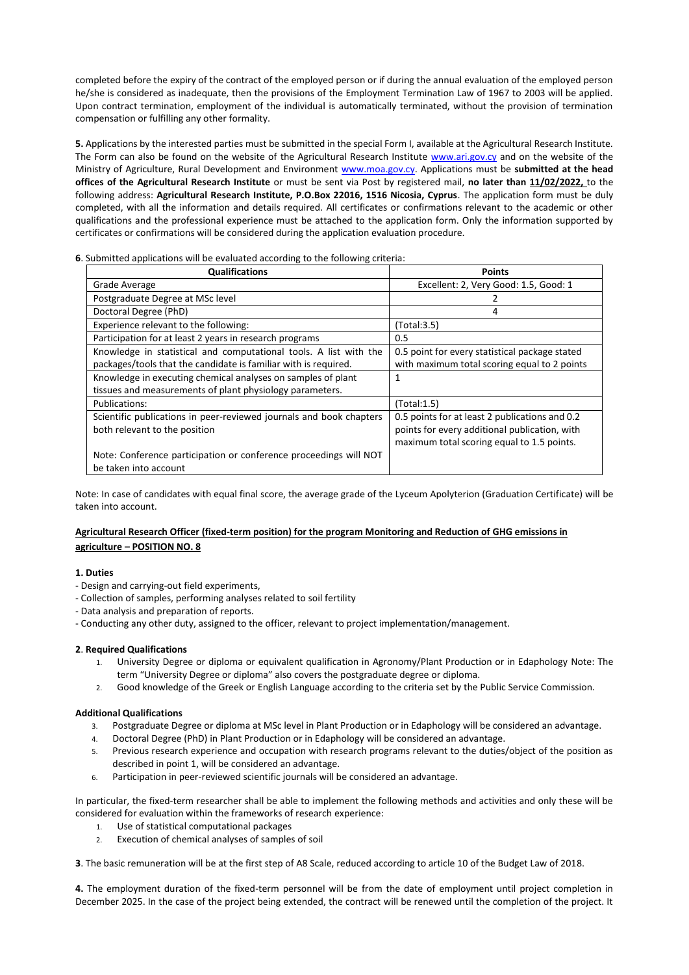completed before the expiry of the contract of the employed person or if during the annual evaluation of the employed person he/she is considered as inadequate, then the provisions of the Employment Termination Law of 1967 to 2003 will be applied. Upon contract termination, employment of the individual is automatically terminated, without the provision of termination compensation or fulfilling any other formality.

**5.** Applications by the interested parties must be submitted in the special Form I, available at the Agricultural Research Institute. The Form can also be found on the website of the Agricultural Research Institute [www.ari.gov.cy](http://www.ari.gov.cy/) and on the website of the Ministry of Agriculture, Rural Development and Environment [www.moa.gov.cy.](http://www.moa.gov.cy/) Applications must be **submitted at the head offices of the Agricultural Research Institute** or must be sent via Post by registered mail, **no later than 11/02/2022,** to the following address: **Agricultural Research Institute, P.O.Box 22016, 1516 Nicosia, Cyprus**. The application form must be duly completed, with all the information and details required. All certificates or confirmations relevant to the academic or other qualifications and the professional experience must be attached to the application form. Only the information supported by certificates or confirmations will be considered during the application evaluation procedure.

**6**. Submitted applications will be evaluated according to the following criteria:

| <b>Qualifications</b>                                               | <b>Points</b>                                  |
|---------------------------------------------------------------------|------------------------------------------------|
| Grade Average                                                       | Excellent: 2, Very Good: 1.5, Good: 1          |
| Postgraduate Degree at MSc level                                    |                                                |
| Doctoral Degree (PhD)                                               | 4                                              |
| Experience relevant to the following:                               | (Total:3.5)                                    |
| Participation for at least 2 years in research programs             | 0.5                                            |
| Knowledge in statistical and computational tools. A list with the   | 0.5 point for every statistical package stated |
| packages/tools that the candidate is familiar with is required.     | with maximum total scoring equal to 2 points   |
| Knowledge in executing chemical analyses on samples of plant        | 1                                              |
| tissues and measurements of plant physiology parameters.            |                                                |
| Publications:                                                       | (Total:1.5)                                    |
| Scientific publications in peer-reviewed journals and book chapters | 0.5 points for at least 2 publications and 0.2 |
| both relevant to the position                                       | points for every additional publication, with  |
|                                                                     | maximum total scoring equal to 1.5 points.     |
| Note: Conference participation or conference proceedings will NOT   |                                                |
| be taken into account                                               |                                                |

Note: In case of candidates with equal final score, the average grade of the Lyceum Apolyterion (Graduation Certificate) will be taken into account.

# **Agricultural Research Officer (fixed-term position) for the program Monitoring and Reduction of GHG emissions in agriculture – POSITION NO. 8**

# **1. Duties**

- Design and carrying-out field experiments,
- Collection of samples, performing analyses related to soil fertility
- Data analysis and preparation of reports.
- Conducting any other duty, assigned to the officer, relevant to project implementation/management.

# **2**. **Required Qualifications**

- 1. University Degree or diploma or equivalent qualification in Agronomy/Plant Production or in Edaphology Note: The term "University Degree or diploma" also covers the postgraduate degree or diploma.
- 2. Good knowledge of the Greek or English Language according to the criteria set by the Public Service Commission.

# **Additional Qualifications**

- 3. Postgraduate Degree or diploma at MSc level in Plant Production or in Edaphology will be considered an advantage.
- 4. Doctoral Degree (PhD) in Plant Production or in Edaphology will be considered an advantage.
- 5. Previous research experience and occupation with research programs relevant to the duties/object of the position as described in point 1, will be considered an advantage.
- 6. Participation in peer-reviewed scientific journals will be considered an advantage.

In particular, the fixed-term researcher shall be able to implement the following methods and activities and only these will be considered for evaluation within the frameworks of research experience:

- 1. Use of statistical computational packages
- 2. Execution of chemical analyses of samples of soil

**3**. The basic remuneration will be at the first step of A8 Scale, reduced according to article 10 of the Budget Law of 2018.

**4.** The employment duration of the fixed-term personnel will be from the date of employment until project completion in December 2025. In the case of the project being extended, the contract will be renewed until the completion of the project. It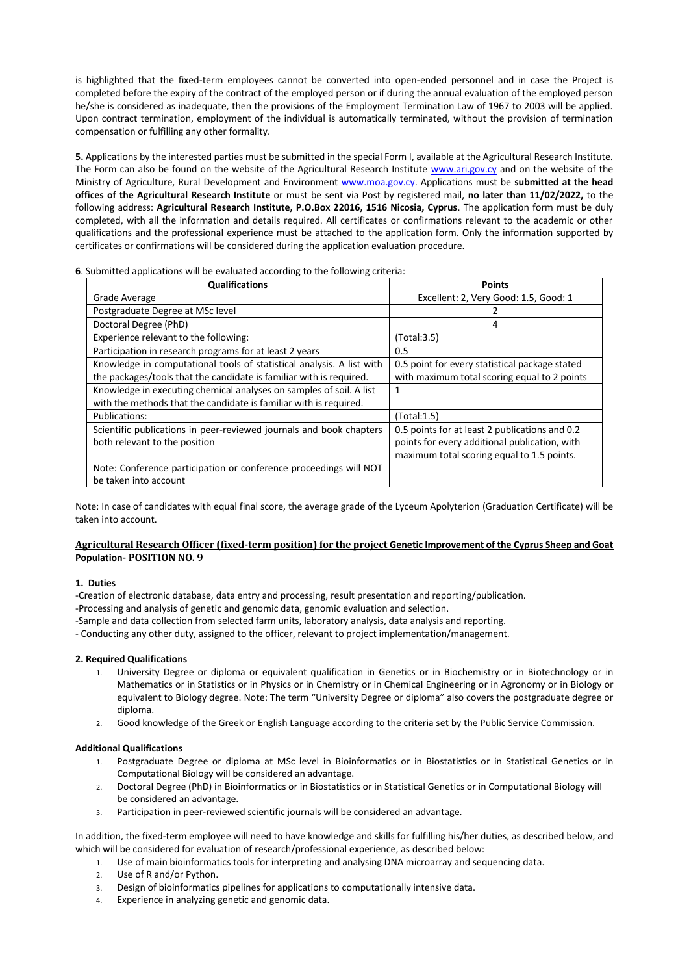is highlighted that the fixed-term employees cannot be converted into open-ended personnel and in case the Project is completed before the expiry of the contract of the employed person or if during the annual evaluation of the employed person he/she is considered as inadequate, then the provisions of the Employment Termination Law of 1967 to 2003 will be applied. Upon contract termination, employment of the individual is automatically terminated, without the provision of termination compensation or fulfilling any other formality.

**5.** Applications by the interested parties must be submitted in the special Form I, available at the Agricultural Research Institute. The Form can also be found on the website of the Agricultural Research Institute [www.ari.gov.cy](http://www.ari.gov.cy/) and on the website of the Ministry of Agriculture, Rural Development and Environment [www.moa.gov.cy.](http://www.moa.gov.cy/) Applications must be **submitted at the head offices of the Agricultural Research Institute** or must be sent via Post by registered mail, **no later than 11/02/2022,** to the following address: **Agricultural Research Institute, P.O.Box 22016, 1516 Nicosia, Cyprus**. The application form must be duly completed, with all the information and details required. All certificates or confirmations relevant to the academic or other qualifications and the professional experience must be attached to the application form. Only the information supported by certificates or confirmations will be considered during the application evaluation procedure.

## **6**. Submitted applications will be evaluated according to the following criteria:

| <b>Qualifications</b>                                                 | <b>Points</b>                                  |
|-----------------------------------------------------------------------|------------------------------------------------|
| Grade Average                                                         | Excellent: 2, Very Good: 1.5, Good: 1          |
| Postgraduate Degree at MSc level                                      |                                                |
| Doctoral Degree (PhD)                                                 | 4                                              |
| Experience relevant to the following:                                 | (Total:3.5)                                    |
| Participation in research programs for at least 2 years               | 0.5                                            |
| Knowledge in computational tools of statistical analysis. A list with | 0.5 point for every statistical package stated |
| the packages/tools that the candidate is familiar with is required.   | with maximum total scoring equal to 2 points   |
| Knowledge in executing chemical analyses on samples of soil. A list   | 1                                              |
| with the methods that the candidate is familiar with is required.     |                                                |
| Publications:                                                         | (Total:1.5)                                    |
| Scientific publications in peer-reviewed journals and book chapters   | 0.5 points for at least 2 publications and 0.2 |
| both relevant to the position                                         | points for every additional publication, with  |
|                                                                       | maximum total scoring equal to 1.5 points.     |
| Note: Conference participation or conference proceedings will NOT     |                                                |
| be taken into account                                                 |                                                |

Note: In case of candidates with equal final score, the average grade of the Lyceum Apolyterion (Graduation Certificate) will be taken into account.

## **Agricultural Research Officer (fixed-term position) for the project Genetic Improvement of the Cyprus Sheep and Goat Population- POSITION NO. 9**

## **1. Duties**

-Creation of electronic database, data entry and processing, result presentation and reporting/publication.

-Processing and analysis of genetic and genomic data, genomic evaluation and selection.

-Sample and data collection from selected farm units, laboratory analysis, data analysis and reporting.

- Conducting any other duty, assigned to the officer, relevant to project implementation/management.

## **2. Required Qualifications**

- 1. University Degree or diploma or equivalent qualification in Genetics or in Biochemistry or in Biotechnology or in Mathematics or in Statistics or in Physics or in Chemistry or in Chemical Engineering or in Agronomy or in Biology or equivalent to Biology degree. Note: The term "University Degree or diploma" also covers the postgraduate degree or diploma.
- 2. Good knowledge of the Greek or English Language according to the criteria set by the Public Service Commission.

#### **Additional Qualifications**

- 1. Postgraduate Degree or diploma at MSc level in Bioinformatics or in Biostatistics or in Statistical Genetics or in Computational Biology will be considered an advantage.
- 2. Doctoral Degree (PhD) in Bioinformatics or in Biostatistics or in Statistical Genetics or in Computational Biology will be considered an advantage.
- 3. Participation in peer-reviewed scientific journals will be considered an advantage.

In addition, the fixed-term employee will need to have knowledge and skills for fulfilling his/her duties, as described below, and which will be considered for evaluation of research/professional experience, as described below:

- 1. Use of main bioinformatics tools for interpreting and analysing DNA microarray and sequencing data.
- 2. Use of R and/or Python.
- 3. Design of bioinformatics pipelines for applications to computationally intensive data.
- 4. Experience in analyzing genetic and genomic data.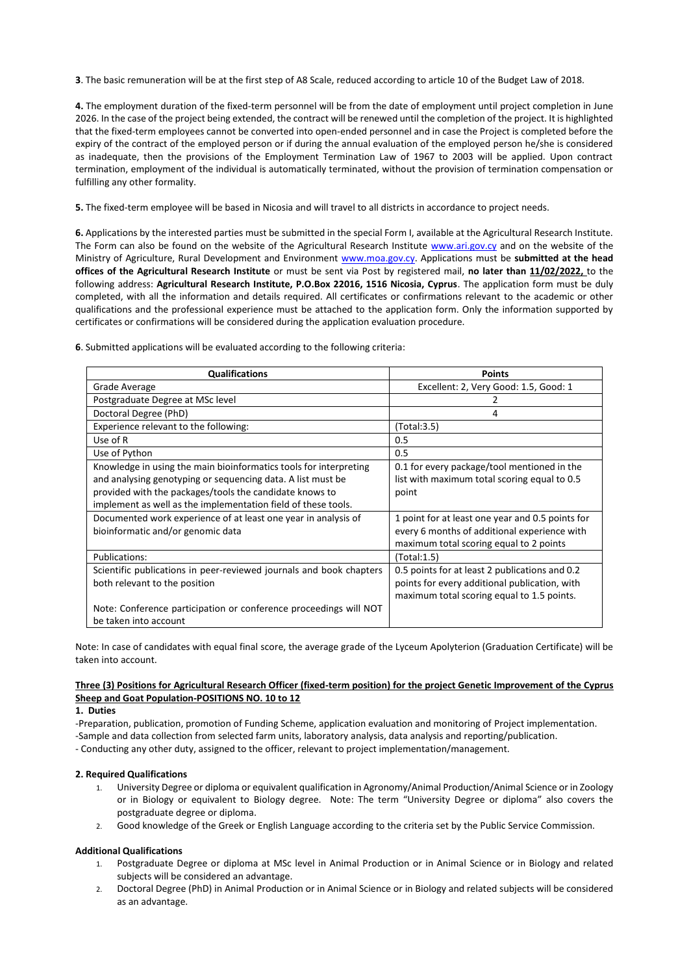**3**. The basic remuneration will be at the first step of A8 Scale, reduced according to article 10 of the Budget Law of 2018.

**4.** The employment duration of the fixed-term personnel will be from the date of employment until project completion in June 2026. In the case of the project being extended, the contract will be renewed until the completion of the project. It is highlighted that the fixed-term employees cannot be converted into open-ended personnel and in case the Project is completed before the expiry of the contract of the employed person or if during the annual evaluation of the employed person he/she is considered as inadequate, then the provisions of the Employment Termination Law of 1967 to 2003 will be applied. Upon contract termination, employment of the individual is automatically terminated, without the provision of termination compensation or fulfilling any other formality.

**5.** The fixed-term employee will be based in Nicosia and will travel to all districts in accordance to project needs.

**6.** Applications by the interested parties must be submitted in the special Form I, available at the Agricultural Research Institute. The Form can also be found on the website of the Agricultural Research Institute [www.ari.gov.cy](http://www.ari.gov.cy/) and on the website of the Ministry of Agriculture, Rural Development and Environment [www.moa.gov.cy.](http://www.moa.gov.cy/) Applications must be **submitted at the head offices of the Agricultural Research Institute** or must be sent via Post by registered mail, **no later than 11/02/2022,** to the following address: **Agricultural Research Institute, P.O.Box 22016, 1516 Nicosia, Cyprus**. The application form must be duly completed, with all the information and details required. All certificates or confirmations relevant to the academic or other qualifications and the professional experience must be attached to the application form. Only the information supported by certificates or confirmations will be considered during the application evaluation procedure.

**6**. Submitted applications will be evaluated according to the following criteria:

| <b>Qualifications</b>                                               | <b>Points</b>                                    |
|---------------------------------------------------------------------|--------------------------------------------------|
| Grade Average                                                       | Excellent: 2, Very Good: 1.5, Good: 1            |
| Postgraduate Degree at MSc level                                    |                                                  |
| Doctoral Degree (PhD)                                               | 4                                                |
| Experience relevant to the following:                               | (Total:3.5)                                      |
| Use of R                                                            | 0.5                                              |
| Use of Python                                                       | 0.5                                              |
| Knowledge in using the main bioinformatics tools for interpreting   | 0.1 for every package/tool mentioned in the      |
| and analysing genotyping or sequencing data. A list must be         | list with maximum total scoring equal to 0.5     |
| provided with the packages/tools the candidate knows to             | point                                            |
| implement as well as the implementation field of these tools.       |                                                  |
| Documented work experience of at least one year in analysis of      | 1 point for at least one year and 0.5 points for |
| bioinformatic and/or genomic data                                   | every 6 months of additional experience with     |
|                                                                     | maximum total scoring equal to 2 points          |
| Publications:                                                       | (Total:1.5)                                      |
| Scientific publications in peer-reviewed journals and book chapters | 0.5 points for at least 2 publications and 0.2   |
| both relevant to the position                                       | points for every additional publication, with    |
|                                                                     | maximum total scoring equal to 1.5 points.       |
| Note: Conference participation or conference proceedings will NOT   |                                                  |
| be taken into account                                               |                                                  |

Note: In case of candidates with equal final score, the average grade of the Lyceum Apolyterion (Graduation Certificate) will be taken into account.

# **Three (3) Positions for Agricultural Research Officer (fixed-term position) for the project Genetic Improvement of the Cyprus Sheep and Goat Population-POSITIONS NO. 10 to 12**

#### **1. Duties**

-Preparation, publication, promotion of Funding Scheme, application evaluation and monitoring of Project implementation.

-Sample and data collection from selected farm units, laboratory analysis, data analysis and reporting/publication.

- Conducting any other duty, assigned to the officer, relevant to project implementation/management.

## **2. Required Qualifications**

- 1. University Degree or diploma or equivalent qualification in Agronomy/Animal Production/Animal Science or in Zoology or in Biology or equivalent to Biology degree. Note: The term "University Degree or diploma" also covers the postgraduate degree or diploma.
- 2. Good knowledge of the Greek or English Language according to the criteria set by the Public Service Commission.

#### **Additional Qualifications**

- 1. Postgraduate Degree or diploma at MSc level in Animal Production or in Animal Science or in Biology and related subjects will be considered an advantage.
- 2. Doctoral Degree (PhD) in Animal Production or in Animal Science or in Biology and related subjects will be considered as an advantage.